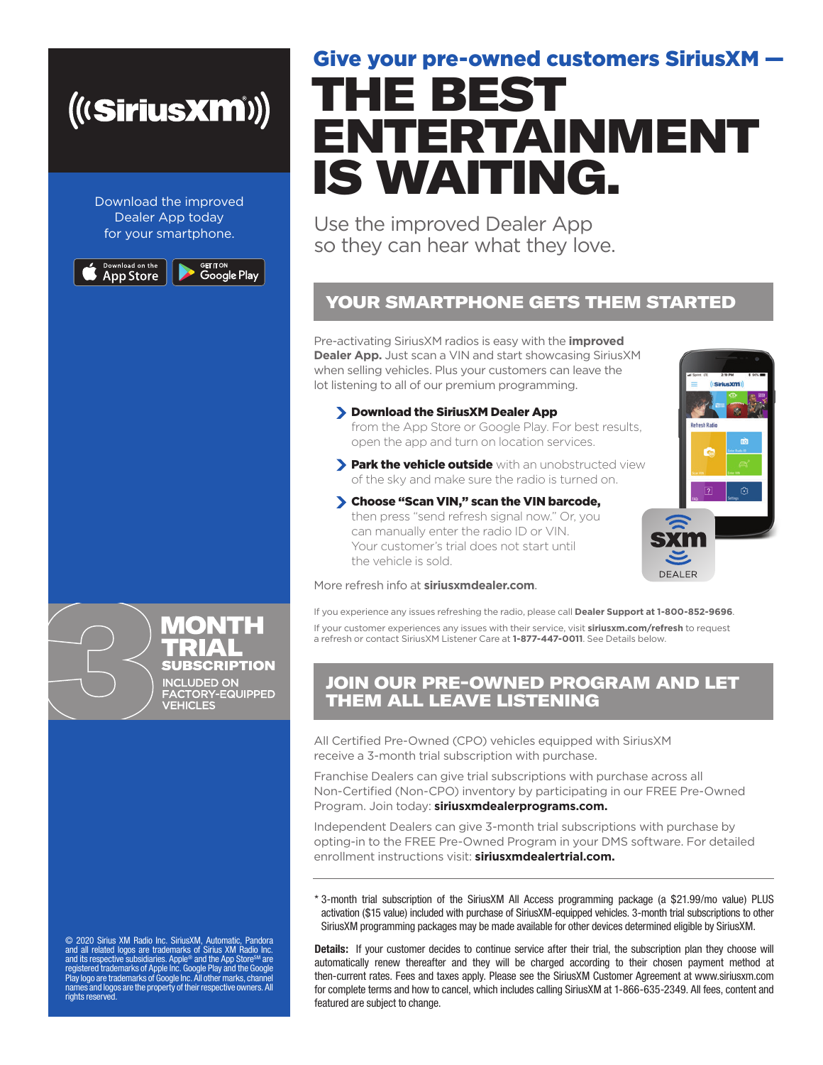# *(((SiriusXM))*

Download the improved Dealer App today for your smartphone.

Download on the<br>App Store

<sup>сет пон</sup><br>Google Play

# THE BEST ENTERTAINMENT IS WAITING. Give your pre-owned customers SiriusXM —

Use the improved Dealer App so they can hear what they love.

### YOUR SMARTPHONE GETS THEM STARTED

Pre-activating SiriusXM radios is easy with the **improved Dealer App.** Just scan a VIN and start showcasing SiriusXM when selling vehicles. Plus your customers can leave the lot listening to all of our premium programming.

Download the SiriusXM Dealer App

from the App Store or Google Play. For best results, open the app and turn on location services.

- **> Park the vehicle outside** with an unobstructed view of the sky and make sure the radio is turned on.
- Choose "Scan VIN," scan the VIN barcode, then press "send refresh signal now." Or, you can manually enter the radio ID or VIN. Your customer's trial does not start until the vehicle is sold.



#### More refresh info at **siriusxmdealer.com**.

If you experience any issues refreshing the radio, please call **Dealer Support at 1-800-852-9696**. If your customer experiences any issues with their service, visit **siriusxm.com/refresh** to request a refresh or contact SiriusXM Listener Care at **1-877-447-0011**. See Details below.

### JOIN OUR PRE-OWNED PROGRAM AND LET THEM ALL LEAVE LISTENING

All Certified Pre-Owned (CPO) vehicles equipped with SiriusXM receive a 3-month trial subscription with purchase.

Franchise Dealers can give trial subscriptions with purchase across all Non-Certified (Non-CPO) inventory by participating in our FREE Pre-Owned Program. Join today: **siriusxmdealerprograms.com.**

Independent Dealers can give 3-month trial subscriptions with purchase by opting-in to the FREE Pre-Owned Program in your DMS software. For detailed enrollment instructions visit: **siriusxmdealertrial.com.**

\* 3-month trial subscription of the SiriusXM All Access programming package (a \$21.99/mo value) PLUS activation (\$15 value) included with purchase of SiriusXM-equipped vehicles. 3-month trial subscriptions to other SiriusXM programming packages may be made available for other devices determined eligible by SiriusXM.

**Details:** If your customer decides to continue service after their trial, the subscription plan they choose will automatically renew thereafter and they will be charged according to their chosen payment method at then-current rates. Fees and taxes apply. Please see the SiriusXM Customer Agreement at www.siriusxm.com for complete terms and how to cancel, which includes calling SiriusXM at 1-866-635-2349. All fees, content and featured are subject to change.

MONTH **SUBSCRIPTION** INCLUDED ON<br>FACTORY-EQUIPPED<br>VEHICLES

 $\odot$  2020 Sirius XM Radio Inc. SiriusXM, Automatic, Pandora<br>and all related logos are trademarks of Sirius XM Radio Inc.<br>and its respective subsidiaries. Apple® and the App Store<sup>sM</sup> are<br>registered trademarks of Apple In rights reserved